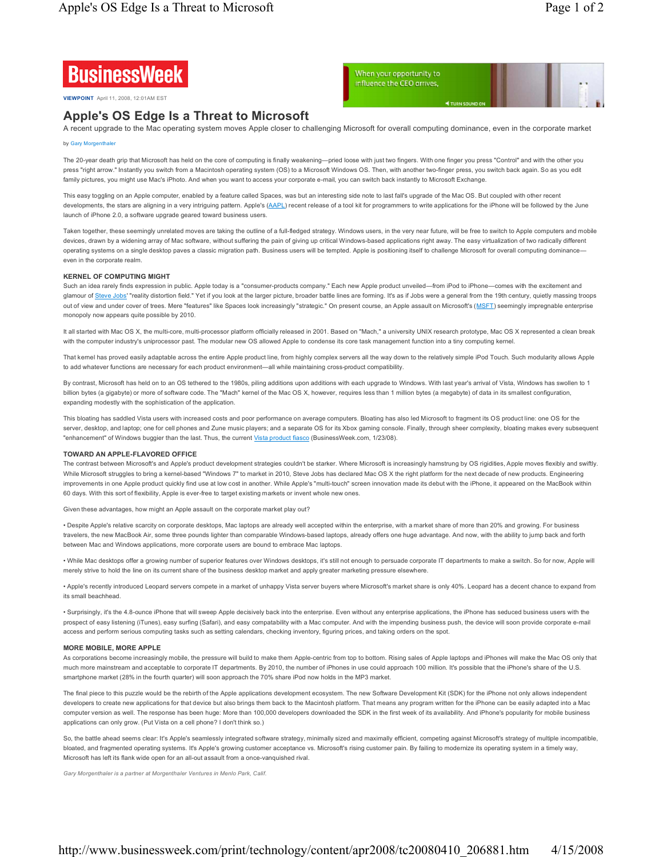

**VIEWPOINT** April 11, 2008, 12:01AM EST

# **Apple's OS Edge Is a Threat to Microsoft**

A recent upgrade to the Mac operating system moves Apple closer to challenging Microsoft for overall computing dominance, even in the corporate market

When your opportunity to influence the CEO arrives,

#### by Gary Morgenthaler

The 20-year death grip that Microsoft has held on the core of computing is finally weakening-pried loose with just two fingers. With one finger you press "Control" and with the other you press "right arrow." Instantly you switch from a Macintosh operating system (OS) to a Microsoft Windows OS. Then, with another two-finger press, you switch back again. So as you edit family pictures, you might use Mac's iPhoto. And when you want to access your corporate e-mail, you can switch back instantly to Microsoft Exchange.

This easy toggling on an Apple computer, enabled by a feature called Spaces, was but an interesting side note to last fall's upgrade of the Mac OS. But coupled with other recent developments, the stars are aligning in a very intriguing pattern. Apple's (AAPL) recent release of a tool kit for programmers to write applications for the iPhone will be followed by the June launch of iPhone 2.0, a software upgrade geared toward business users.

Taken together, these seemingly unrelated moves are taking the outline of a full-fledged strategy. Windows users, in the very near future, will be free to switch to Apple computers and mobile devices, drawn by a widening array of Mac software, without suffering the pain of giving up critical Windows-based applications right away. The easy virtualization of two radically different operating systems on a single desktop paves a classic migration path. Business users will be tempted. Apple is positioning itself to challenge Microsoft for overall computing dominanceeven in the corporate realm.

#### **KERNEL OF COMPUTING MIGHT**

Such an idea rarely finds expression in public. Apple today is a "consumer-products company." Each new Apple product unveiled—from iPod to iPhone—comes with the excitement and glamour of Steve Jobs' "reality distortion field." Yet if you look at the larger picture, broader battle lines are forming. It's as if Jobs were a general from the 19th century, quietly massing troops out of view and under cover of trees. Mere "features" like Spaces look increasingly "strategic." On present course, an Apple assault on Microsoft's (MSFT) seemingly impregnable enterprise monopoly now appears quite possible by 2010.

It all started with Mac OS X, the multi-core, multi-processor platform officially released in 2001. Based on "Mach," a university UNIX research prototype, Mac OS X represented a clean break with the computer industry's uniprocessor past. The modular new OS allowed Apple to condense its core task management function into a tiny computing kernel.

That kernel has proved easily adaptable across the entire Apple product line, from highly complex servers all the way down to the relatively simple iPod Touch. Such modularity allows Apple to add whatever functions are necessary for each product environment—all while maintaining cross-product compatibility.

By contrast, Microsoft has held on to an OS tethered to the 1980s, piling additions upon additions with each upgrade to Windows. With last year's arrival of Vista, Windows has swollen to 1 billion bytes (a gigabyte) or more of software code. The "Mach" kernel of the Mac OS X, however, requires less than 1 million bytes (a megabyte) of data in its smallest configuration, expanding modestly with the sophistication of the application.

This bloating has saddled Vista users with increased costs and poor performance on average computers. Bloating has also led Microsoft to fragment its OS product line: one OS for the server, desktop, and laptop; one for cell phones and Zune music players; and a separate OS for its Xbox gaming console. Finally, through sheer complexity, bloating makes every subsequent "enhancement" of Windows buggier than the last. Thus, the current Vista product fiasco (BusinessWeek.com, 1/23/08).

### **TOWARD AN APPLE-FLAVORED OFFICE**

The contrast between Microsoft's and Apple's product development strategies couldn't be starker. Where Microsoft is increasingly hamstrung by OS rigidities. Apple moves flexibly and swiftly. While Microsoft struggles to bring a kernel-based "Windows 7" to market in 2010, Steve Jobs has declared Mac OS X the right platform for the next decade of new products. Engineering improvements in one Apple product quickly find use at low cost in another. While Apple's "multi-touch" screen innovation made its debut with the iPhone, it appeared on the MacBook within 60 days. With this sort of flexibility, Apple is ever-free to target existing markets or invent whole new ones.

Given these advantages, how might an Apple assault on the corporate market play out?

• Despite Apple's relative scarcity on corporate desktops, Mac laptops are already well accepted within the enterprise, with a market share of more than 20% and growing. For business travelers, the new MacBook Air, some three pounds lighter than comparable Windows-based laptops, already offers one huge advantage. And now, with the ability to jump back and forth between Mac and Windows applications, more corporate users are bound to embrace Mac laptops.

 While Mac desktops offer a growing number of superior features over Windows desktops, it's still not enough to persuade corporate IT departments to make a switch. So for now, Apple will merely strive to hold the line on its current share of the business desktop market and apply greater marketing pressure elsewhere.

 Apple's recently introduced Leopard servers compete in a market of unhappy Vista server buyers where Microsoft's market share is only 40%. Leopard has a decent chance to expand from its small beachhead.

. Surprisingly, it's the 4.8-ounce iPhone that will sweep Apple decisively back into the enterprise. Even without any enterprise applications, the iPhone has seduced business users with the prospect of easy listening (iTunes), easy surfing (Safari), and easy compatability with a Mac computer. And with the impending business push, the device will soon provide corporate e-mail access and perform serious computing tasks such as setting calendars, checking inventory, figuring prices, and taking orders on the spot.

#### **MORE MOBILE, MORE APPLE**

As corporations become increasingly mobile, the pressure will build to make them Apple-centric from top to bottom. Rising sales of Apple laptops and iPhones will make the Mac OS only that much more mainstream and acceptable to corporate IT departments. By 2010, the number of iPhones in use could approach 100 million. It's possible that the iPhone's share of the U.S. smartphone market (28% in the fourth quarter) will soon approach the 70% share iPod now holds in the MP3 market.

The final piece to this puzzle would be the rebirth of the Apple applications development ecosystem. The new Software Development Kit (SDK) for the iPhone not only allows independent developers to create new applications for that device but also brings them back to the Macintosh platform. That means any program written for the iPhone can be easily adapted into a Mac computer version as well. The response has been huge: More than 100,000 developers downloaded the SDK in the first week of its availability. And iPhone's popularity for mobile business applications can only grow. (Put Vista on a cell phone? I don't think so.)

So, the battle ahead seems clear: It's Apple's seamlessly integrated software strategy, minimally sized and maximally efficient, competing against Microsoft's strategy of multiple incompatible, bloated, and fragmented operating systems. It's Apple's growing customer acceptance vs. Microsoft's rising customer pain. By failing to modernize its operating system in a timely way, Microsoft has left its flank wide open for an all-out assault from a once-vanquished rival.

*Gary Morgenthaler is a partner at Morgenthaler Ventures in Menlo Park, Calif.*

## http://www.businessweek.com/print/technology/content/apr2008/tc20080410\_206881.htm 4/15/2008